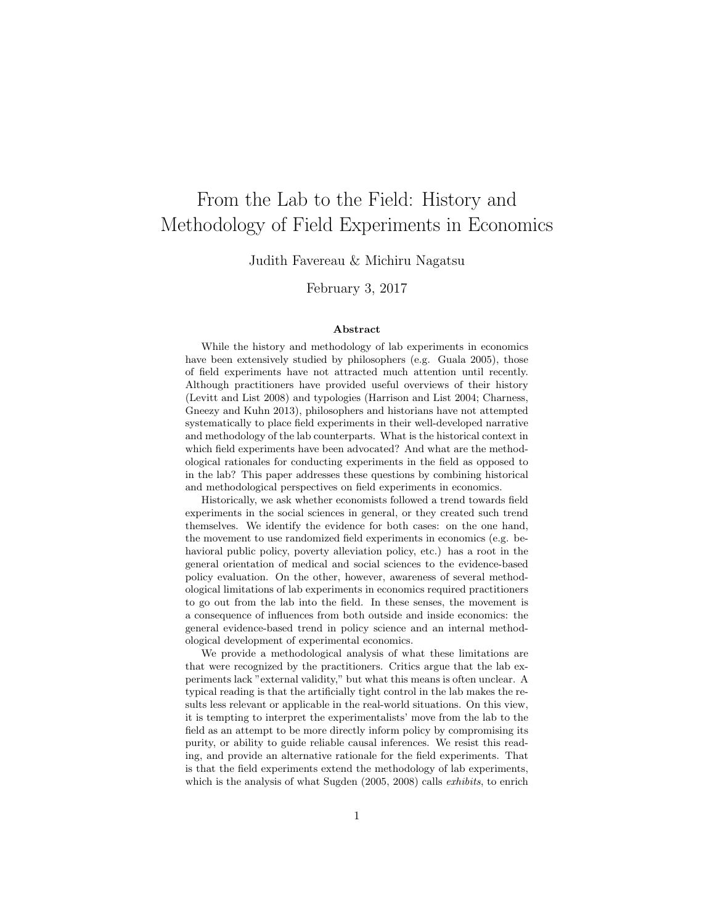## From the Lab to the Field: History and Methodology of Field Experiments in Economics

Judith Favereau & Michiru Nagatsu

February 3, 2017

## Abstract

While the history and methodology of lab experiments in economics have been extensively studied by philosophers (e.g. Guala 2005), those of field experiments have not attracted much attention until recently. Although practitioners have provided useful overviews of their history (Levitt and List 2008) and typologies (Harrison and List 2004; Charness, Gneezy and Kuhn 2013), philosophers and historians have not attempted systematically to place field experiments in their well-developed narrative and methodology of the lab counterparts. What is the historical context in which field experiments have been advocated? And what are the methodological rationales for conducting experiments in the field as opposed to in the lab? This paper addresses these questions by combining historical and methodological perspectives on field experiments in economics.

Historically, we ask whether economists followed a trend towards field experiments in the social sciences in general, or they created such trend themselves. We identify the evidence for both cases: on the one hand, the movement to use randomized field experiments in economics (e.g. behavioral public policy, poverty alleviation policy, etc.) has a root in the general orientation of medical and social sciences to the evidence-based policy evaluation. On the other, however, awareness of several methodological limitations of lab experiments in economics required practitioners to go out from the lab into the field. In these senses, the movement is a consequence of influences from both outside and inside economics: the general evidence-based trend in policy science and an internal methodological development of experimental economics.

We provide a methodological analysis of what these limitations are that were recognized by the practitioners. Critics argue that the lab experiments lack "external validity," but what this means is often unclear. A typical reading is that the artificially tight control in the lab makes the results less relevant or applicable in the real-world situations. On this view, it is tempting to interpret the experimentalists' move from the lab to the field as an attempt to be more directly inform policy by compromising its purity, or ability to guide reliable causal inferences. We resist this reading, and provide an alternative rationale for the field experiments. That is that the field experiments extend the methodology of lab experiments, which is the analysis of what Sugden (2005, 2008) calls *exhibits*, to enrich